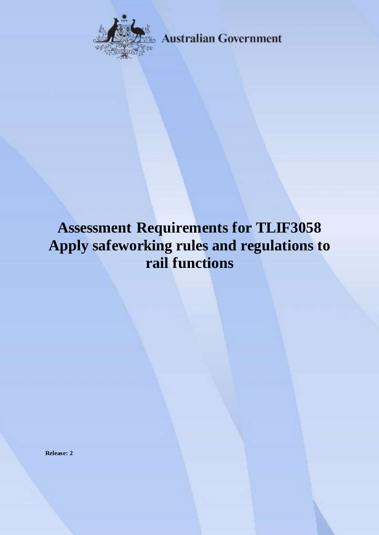

**Australian Government** 

# **Assessment Requirements for TLIF3058 Apply safeworking rules and regulations to rail functions**

**Release: 2**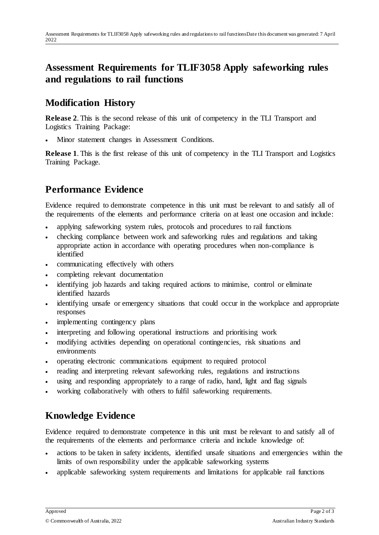## **Assessment Requirements for TLIF3058 Apply safeworking rules and regulations to rail functions**

### **Modification History**

**Release 2**. This is the second release of this unit of competency in the TLI Transport and Logistics Training Package:

Minor statement changes in Assessment Conditions.

**Release 1**. This is the first release of this unit of competency in the TLI Transport and Logistics Training Package.

## **Performance Evidence**

Evidence required to demonstrate competence in this unit must be relevant to and satisfy all of the requirements of the elements and performance criteria on at least one occasion and include:

- applying safeworking system rules, protocols and procedures to rail functions
- checking compliance between work and safeworking rules and regulations and taking appropriate action in accordance with operating procedures when non-compliance is identified
- communicating effectively with others
- completing relevant documentation
- identifying job hazards and taking required actions to minimise, control or eliminate identified hazards
- identifying unsafe or emergency situations that could occur in the workplace and appropriate responses
- implementing contingency plans
- interpreting and following operational instructions and prioritising work
- modifying activities depending on operational contingencies, risk situations and environments
- operating electronic communications equipment to required protocol
- reading and interpreting relevant safeworking rules, regulations and instructions
- using and responding appropriately to a range of radio, hand, light and flag signals
- working collaboratively with others to fulfil safeworking requirements.

## **Knowledge Evidence**

Evidence required to demonstrate competence in this unit must be relevant to and satisfy all of the requirements of the elements and performance criteria and include knowledge of:

- actions to be taken in safety incidents, identified unsafe situations and emergencies within the limits of own responsibility under the applicable safeworking systems
- applicable safeworking system requirements and limitations for applicable rail functions